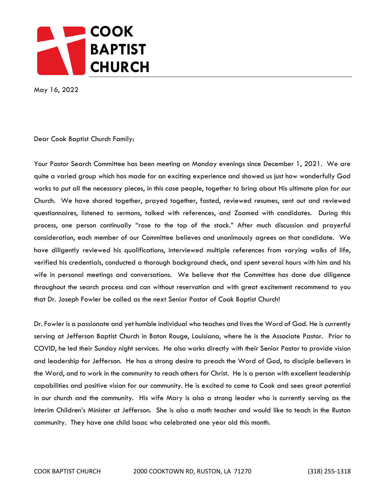

May 16, 2022

Dear Cook Baptist Church Family:

Your Pastor Search Committee has been meeting on Monday evenings since December 1, 2021. We are quite a varied group which has made for an exciting experience and showed us just how wonderfully God works to put all the necessary pieces, in this case people, together to bring about His ultimate plan for our Church. We have shared together, prayed together, fasted, reviewed resumes, sent out and reviewed questionnaires, listened to sermons, talked with references, and Zoomed with candidates. During this process, one person continually "rose to the top of the stack." After much discussion and prayerful consideration, each member of our Committee believes and unanimously agrees on that candidate. We have diligently reviewed his qualifications, interviewed multiple references from varying walks of life, verified his credentials, conducted a thorough background check, and spent several hours with him and his wife in personal meetings and conversations. We believe that the Committee has done due diligence throughout the search process and can without reservation and with great excitement recommend to you that Dr. Joseph Fowler be called as the next Senior Pastor of Cook Baptist Church!

Dr. Fowler is a passionate and yet humble individual who teaches and lives the Word of God. He is currently serving at Jefferson Baptist Church in Baton Rouge, Louisiana, where he is the Associate Pastor. Prior to COVID, he led their Sunday night services. He also works directly with their Senior Pastor to provide vision and leadership for Jefferson. He has a strong desire to preach the Word of God, to disciple believers in the Word, and to work in the community to reach others for Christ. He is a person with excellent leadership capabilities and positive vision for our community. He is excited to come to Cook and sees great potential in our church and the community. His wife Mary is also a strong leader who is currently serving as the Interim Children's Minister at Jefferson. She is also a math teacher and would like to teach in the Ruston community. They have one child Isaac who celebrated one year old this month.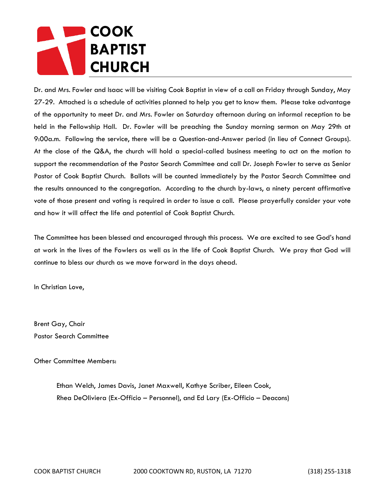## **COOK BAPTIST CHURCH**

Dr. and Mrs. Fowler and Isaac will be visiting Cook Baptist in view of a call on Friday through Sunday, May 27-29. Attached is a schedule of activities planned to help you get to know them. Please take advantage of the opportunity to meet Dr. and Mrs. Fowler on Saturday afternoon during an informal reception to be held in the Fellowship Hall. Dr. Fowler will be preaching the Sunday morning sermon on May 29th at 9:00a.m. Following the service, there will be a Question-and-Answer period (in lieu of Connect Groups). At the close of the Q&A, the church will hold a special-called business meeting to act on the motion to support the recommendation of the Pastor Search Committee and call Dr. Joseph Fowler to serve as Senior Pastor of Cook Baptist Church. Ballots will be counted immediately by the Pastor Search Committee and the results announced to the congregation. According to the church by-laws, a ninety percent affirmative vote of those present and voting is required in order to issue a call. Please prayerfully consider your vote and how it will affect the life and potential of Cook Baptist Church.

The Committee has been blessed and encouraged through this process. We are excited to see God's hand at work in the lives of the Fowlers as well as in the life of Cook Baptist Church. We pray that God will continue to bless our church as we move forward in the days ahead.

In Christian Love,

Brent Gay, Chair Pastor Search Committee

Other Committee Members:

 Ethan Welch, James Davis, Janet Maxwell, Kathye Scriber, Eileen Cook, Rhea DeOliviera (Ex-Officio – Personnel), and Ed Lary (Ex-Officio – Deacons)